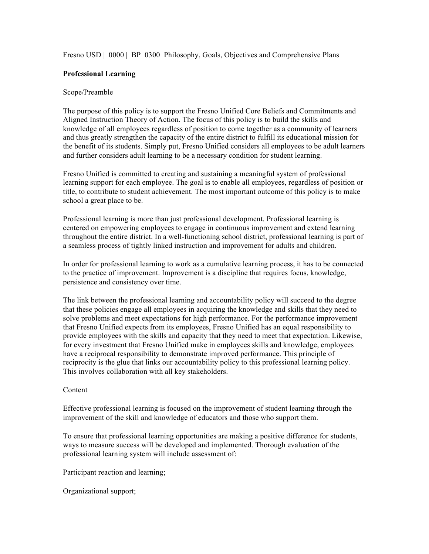Fresno USD | 0000 | BP 0300 Philosophy, Goals, Objectives and Comprehensive Plans

## **Professional Learning**

## Scope/Preamble

The purpose of this policy is to support the Fresno Unified Core Beliefs and Commitments and Aligned Instruction Theory of Action. The focus of this policy is to build the skills and knowledge of all employees regardless of position to come together as a community of learners and thus greatly strengthen the capacity of the entire district to fulfill its educational mission for the benefit of its students. Simply put, Fresno Unified considers all employees to be adult learners and further considers adult learning to be a necessary condition for student learning.

Fresno Unified is committed to creating and sustaining a meaningful system of professional learning support for each employee. The goal is to enable all employees, regardless of position or title, to contribute to student achievement. The most important outcome of this policy is to make school a great place to be.

Professional learning is more than just professional development. Professional learning is centered on empowering employees to engage in continuous improvement and extend learning throughout the entire district. In a well-functioning school district, professional learning is part of a seamless process of tightly linked instruction and improvement for adults and children.

In order for professional learning to work as a cumulative learning process, it has to be connected to the practice of improvement. Improvement is a discipline that requires focus, knowledge, persistence and consistency over time.

The link between the professional learning and accountability policy will succeed to the degree that these policies engage all employees in acquiring the knowledge and skills that they need to solve problems and meet expectations for high performance. For the performance improvement that Fresno Unified expects from its employees, Fresno Unified has an equal responsibility to provide employees with the skills and capacity that they need to meet that expectation. Likewise, for every investment that Fresno Unified make in employees skills and knowledge, employees have a reciprocal responsibility to demonstrate improved performance. This principle of reciprocity is the glue that links our accountability policy to this professional learning policy. This involves collaboration with all key stakeholders.

## Content

Effective professional learning is focused on the improvement of student learning through the improvement of the skill and knowledge of educators and those who support them.

To ensure that professional learning opportunities are making a positive difference for students, ways to measure success will be developed and implemented. Thorough evaluation of the professional learning system will include assessment of:

Participant reaction and learning;

Organizational support;